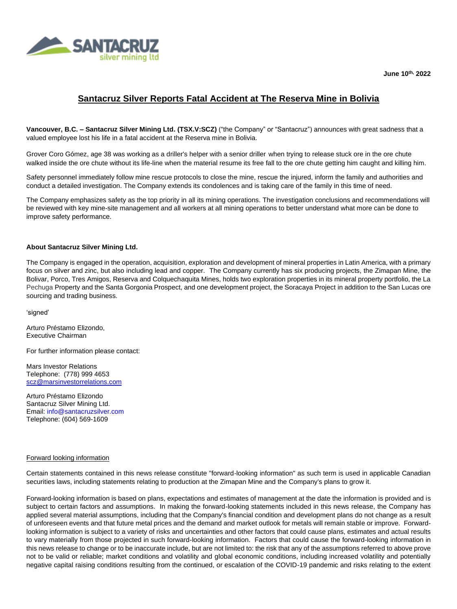

**June 10th, 2022**

## **Santacruz Silver Reports Fatal Accident at The Reserva Mine in Bolivia**

**Vancouver, B.C. – Santacruz Silver Mining Ltd. (TSX.V:SCZ)** ("the Company" or "Santacruz") announces with great sadness that a valued employee lost his life in a fatal accident at the Reserva mine in Bolivia.

Grover Coro Gómez, age 38 was working as a driller's helper with a senior driller when trying to release stuck ore in the ore chute walked inside the ore chute without its life-line when the material resume its free fall to the ore chute getting him caught and killing him.

Safety personnel immediately follow mine rescue protocols to close the mine, rescue the injured, inform the family and authorities and conduct a detailed investigation. The Company extends its condolences and is taking care of the family in this time of need.

The Company emphasizes safety as the top priority in all its mining operations. The investigation conclusions and recommendations will be reviewed with key mine-site management and all workers at all mining operations to better understand what more can be done to improve safety performance.

## **About Santacruz Silver Mining Ltd.**

The Company is engaged in the operation, acquisition, exploration and development of mineral properties in Latin America, with a primary focus on silver and zinc, but also including lead and copper. The Company currently has six producing projects, the Zimapan Mine, the Bolivar, Porco, Tres Amigos, Reserva and Colquechaquita Mines, holds two exploration properties in its mineral property portfolio, the La Pechuga Property and the Santa Gorgonia Prospect, and one development project, the Soracaya Project in addition to the San Lucas ore sourcing and trading business.

'signed'

Arturo Préstamo Elizondo, Executive Chairman

For further information please contact:

Mars Investor Relations Telephone: (778) 999 4653 [scz@marsinvestorrelations.com](mailto:scz@marsinvestorrelations.com)

Arturo Préstamo Elizondo Santacruz Silver Mining Ltd. Email: info@santacruzsilver.com Telephone: (604) 569-1609

## Forward looking information

Certain statements contained in this news release constitute "forward-looking information" as such term is used in applicable Canadian securities laws, including statements relating to production at the Zimapan Mine and the Company's plans to grow it.

Forward-looking information is based on plans, expectations and estimates of management at the date the information is provided and is subject to certain factors and assumptions. In making the forward-looking statements included in this news release, the Company has applied several material assumptions, including that the Company's financial condition and development plans do not change as a result of unforeseen events and that future metal prices and the demand and market outlook for metals will remain stable or improve. Forwardlooking information is subject to a variety of risks and uncertainties and other factors that could cause plans, estimates and actual results to vary materially from those projected in such forward-looking information. Factors that could cause the forward-looking information in this news release to change or to be inaccurate include, but are not limited to: the risk that any of the assumptions referred to above prove not to be valid or reliable; market conditions and volatility and global economic conditions, including increased volatility and potentially negative capital raising conditions resulting from the continued, or escalation of the COVID-19 pandemic and risks relating to the extent